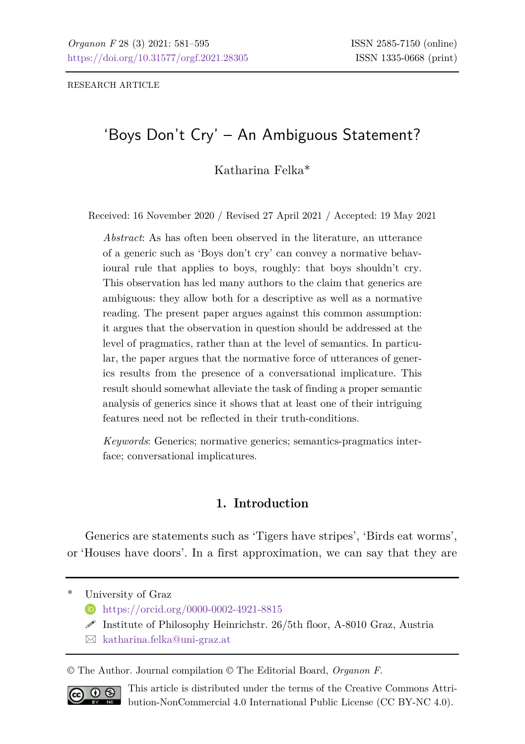RESEARCH ARTICLE

# 'Boys Don't Cry' – An Ambiguous Statement?

Katharina Felka\*

Received: 16 November 2020 / Revised 27 April 2021 / Accepted: 19 May 2021

*Abstract*: As has often been observed in the literature, an utterance of a generic such as 'Boys don't cry' can convey a normative behavioural rule that applies to boys, roughly: that boys shouldn't cry. This observation has led many authors to the claim that generics are ambiguous: they allow both for a descriptive as well as a normative reading. The present paper argues against this common assumption: it argues that the observation in question should be addressed at the level of pragmatics, rather than at the level of semantics. In particular, the paper argues that the normative force of utterances of generics results from the presence of a conversational implicature. This result should somewhat alleviate the task of finding a proper semantic analysis of generics since it shows that at least one of their intriguing features need not be reflected in their truth-conditions.

*Keywords*: Generics; normative generics; semantics-pragmatics interface; conversational implicatures.

### **1. Introduction**

Generics are statements such as 'Tigers have stripes', 'Birds eat worms', or 'Houses have doors'. In a first approximation, we can say that they are

University of Graz

- <https://orcid.org/0000-0002-4921-8815>
- $\mathscr S$  Institute of Philosophy Heinrichstr. 26/5th floor, A-8010 Graz, Austria
- $\boxtimes$  [katharina.felka@uni-graz.at](mailto:katharina.felka@uni-graz.at)

© The Author. Journal compilation © The Editorial Board, *Organon F*.



This article is distributed under the terms of the Creative Commons Attribution-NonCommercial 4.0 International Public License (CC BY-NC 4.0).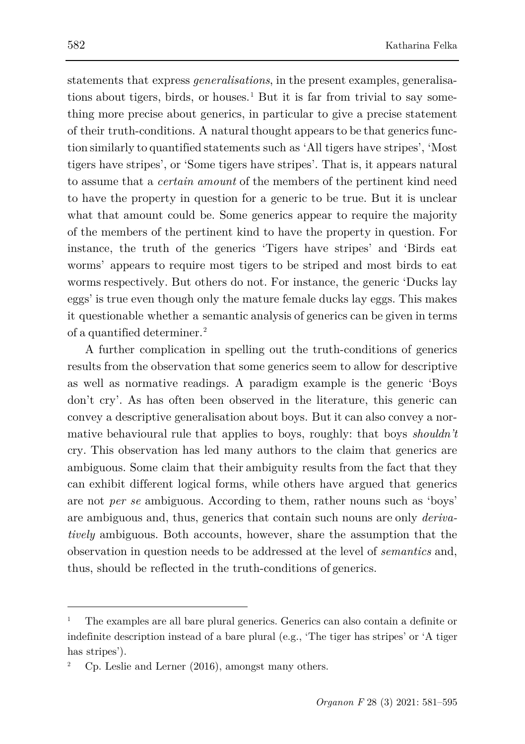statements that express *generalisations*, in the present examples, generalisa-tions about tigers, birds, or houses.<sup>[1](#page-1-0)</sup> But it is far from trivial to say something more precise about generics, in particular to give a precise statement of their truth-conditions. A natural thought appears to be that generics function similarly to quantified statements such as 'All tigers have stripes', 'Most tigers have stripes', or 'Some tigers have stripes'. That is, it appears natural to assume that a *certain amount* of the members of the pertinent kind need to have the property in question for a generic to be true. But it is unclear what that amount could be. Some generics appear to require the majority of the members of the pertinent kind to have the property in question. For instance, the truth of the generics 'Tigers have stripes' and 'Birds eat worms' appears to require most tigers to be striped and most birds to eat worms respectively. But others do not. For instance, the generic 'Ducks lay eggs' is true even though only the mature female ducks lay eggs. This makes it questionable whether a semantic analysis of generics can be given in terms of a quantified determiner.[2](#page-1-1)

A further complication in spelling out the truth-conditions of generics results from the observation that some generics seem to allow for descriptive as well as normative readings. A paradigm example is the generic 'Boys don't cry'. As has often been observed in the literature, this generic can convey a descriptive generalisation about boys. But it can also convey a normative behavioural rule that applies to boys, roughly: that boys *shouldn't*  cry. This observation has led many authors to the claim that generics are ambiguous. Some claim that their ambiguity results from the fact that they can exhibit different logical forms, while others have argued that generics are not *per se* ambiguous. According to them, rather nouns such as 'boys' are ambiguous and, thus, generics that contain such nouns are only *derivatively* ambiguous. Both accounts, however, share the assumption that the observation in question needs to be addressed at the level of *semantics* and, thus, should be reflected in the truth-conditions of generics.

<span id="page-1-0"></span><sup>1</sup> The examples are all bare plural generics. Generics can also contain a definite or indefinite description instead of a bare plural (e.g., 'The tiger has stripes' or 'A tiger has stripes').

<span id="page-1-1"></span><sup>2</sup> Cp. [Leslie and Lerner \(2016\)](#page-14-0), amongst many others.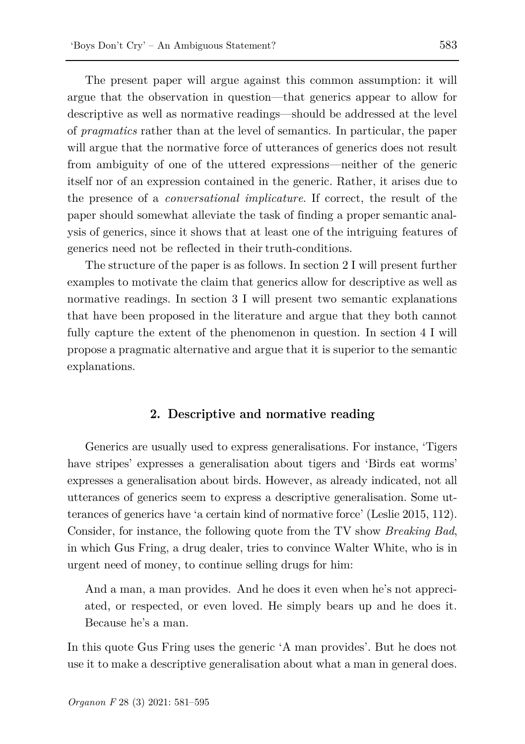The present paper will argue against this common assumption: it will argue that the observation in question—that generics appear to allow for descriptive as well as normative readings—should be addressed at the level of *pragmatics* rather than at the level of semantics. In particular, the paper will argue that the normative force of utterances of generics does not result from ambiguity of one of the uttered expressions—neither of the generic itself nor of an expression contained in the generic. Rather, it arises due to the presence of a *conversational implicature*. If correct, the result of the paper should somewhat alleviate the task of finding a proper semantic analysis of generics, since it shows that at least one of the intriguing features of generics need not be reflected in their truth-conditions.

The structure of the paper is as follows. In section 2 I will present further examples to motivate the claim that generics allow for descriptive as well as normative readings. In section 3 I will present two semantic explanations that have been proposed in the literature and argue that they both cannot fully capture the extent of the phenomenon in question. In section 4 I will propose a pragmatic alternative and argue that it is superior to the semantic explanations.

### **2. Descriptive and normative reading**

Generics are usually used to express generalisations. For instance, 'Tigers have stripes' expresses a generalisation about tigers and 'Birds eat worms' expresses a generalisation about birds. However, as already indicated, not all utterances of generics seem to express a descriptive generalisation. Some utterances of generics have 'a certain kind of normative force' [\(Leslie 2015,](#page-14-1) 112). Consider, for instance, the following quote from the TV show *Breaking Bad*, in which Gus Fring, a drug dealer, tries to convince Walter White, who is in urgent need of money, to continue selling drugs for him:

And a man, a man provides. And he does it even when he's not appreciated, or respected, or even loved. He simply bears up and he does it. Because he's a man.

In this quote Gus Fring uses the generic 'A man provides'. But he does not use it to make a descriptive generalisation about what a man in general does.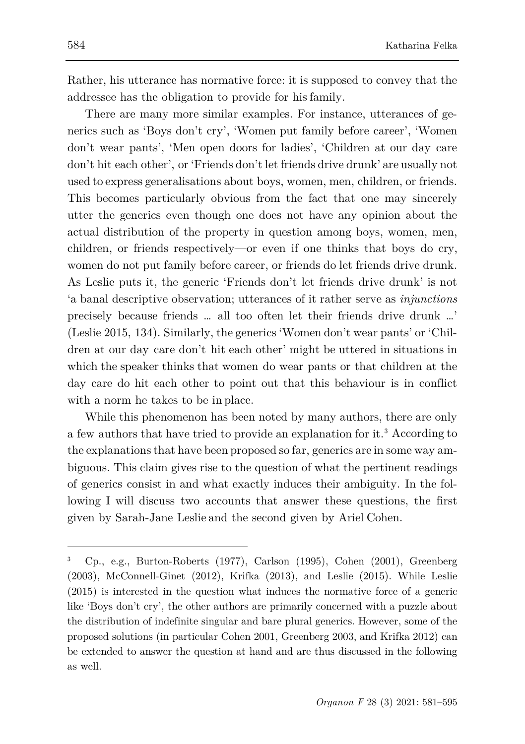Rather, his utterance has normative force: it is supposed to convey that the addressee has the obligation to provide for his family.

There are many more similar examples. For instance, utterances of generics such as 'Boys don't cry', 'Women put family before career', 'Women don't wear pants', 'Men open doors for ladies', 'Children at our day care don't hit each other', or 'Friends don't let friends drive drunk' are usually not used to express generalisations about boys, women, men, children, or friends. This becomes particularly obvious from the fact that one may sincerely utter the generics even though one does not have any opinion about the actual distribution of the property in question among boys, women, men, children, or friends respectively—or even if one thinks that boys do cry, women do not put family before career, or friends do let friends drive drunk. As Leslie puts it, the generic 'Friends don't let friends drive drunk' is not 'a banal descriptive observation; utterances of it rather serve as *injunctions*  precisely because friends … all too often let their friends drive drunk …' [\(Leslie](#page-14-1) [2015,](#page-14-1) 134). Similarly, the generics 'Women don't wear pants' or 'Children at our day care don't hit each other' might be uttered in situations in which the speaker thinks that women do wear pants or that children at the day care do hit each other to point out that this behaviour is in conflict with a norm he takes to be in place.

While this phenomenon has been noted by many authors, there are only a few authors that have tried to provide an explanation for it.[3](#page-3-0) According to the explanationsthat have been proposed so far, generics are in some way ambiguous. This claim gives rise to the question of what the pertinent readings of generics consist in and what exactly induces their ambiguity. In the following I will discuss two accounts that answer these questions, the first given by Sarah-Jane Leslie and the second given by Ariel Cohen.

<span id="page-3-0"></span><sup>3</sup> Cp., e.g., [Burton-Roberts](#page-13-0) (1977), [Carlson \(](#page-13-1)1995), [Cohen \(](#page-14-2)2001), [Greenberg](#page-14-3)  (2003), [McConnell-Ginet \(](#page-14-4)2012), [Krifka \(](#page-14-5)2013), and [Leslie \(](#page-14-1)2015). While Leslie (2015) is interested in the question what induces the normative force of a generic like 'Boys don't cry', the other authors are primarily concerned with a puzzle about the distribution of indefinite singular and bare plural generics. However, some of the proposed solutions (in particula[r Cohen 2001,](#page-14-2) [Greenberg 2](#page-14-3)003, and [Krifka 2012\)](#page-14-5) can be extended to answer the question at hand and are thus discussed in the following as well.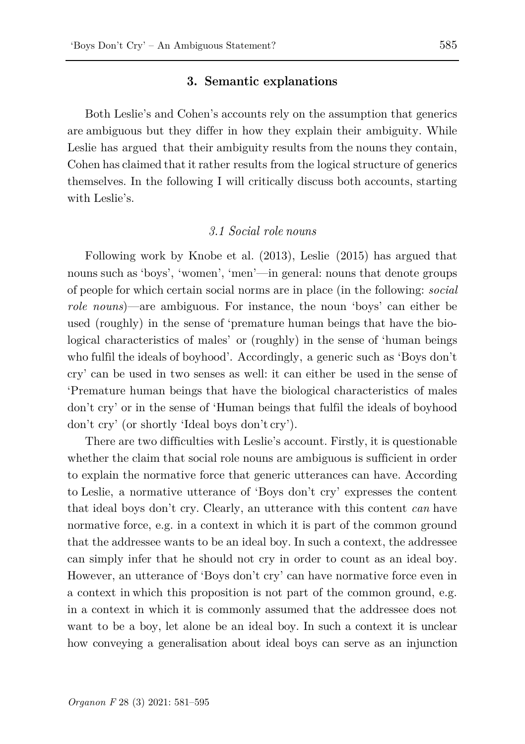#### **3. Semantic explanations**

Both Leslie's and Cohen's accounts rely on the assumption that generics are ambiguous but they differ in how they explain their ambiguity. While Leslie has argued that their ambiguity results from the nouns they contain, Cohen has claimed that it rather results from the logical structure of generics themselves. In the following I will critically discuss both accounts, starting with Leslie's.

#### *3.1 Social role nouns*

Following work by [Knobe](#page-14-6) et al. [\(2013\)](#page-14-6), Leslie (2015) has argued that nouns such as 'boys', 'women', 'men'—in general: nouns that denote groups of people for which certain social norms are in place (in the following: *social role nouns*)—are ambiguous. For instance, the noun 'boys' can either be used (roughly) in the sense of 'premature human beings that have the biological characteristics of males' or (roughly) in the sense of 'human beings who fulfil the ideals of boyhood'. Accordingly, a generic such as 'Boys don't cry' can be used in two senses as well: it can either be used in the sense of 'Premature human beings that have the biological characteristics of males don't cry' or in the sense of 'Human beings that fulfil the ideals of boyhood don't cry' (or shortly 'Ideal boys don't cry').

There are two difficulties with Leslie's account. Firstly, it is questionable whether the claim that social role nouns are ambiguous is sufficient in order to explain the normative force that generic utterances can have. According to Leslie, a normative utterance of 'Boys don't cry' expresses the content that ideal boys don't cry. Clearly, an utterance with this content *can* have normative force, e.g. in a context in which it is part of the common ground that the addressee wants to be an ideal boy. In such a context, the addressee can simply infer that he should not cry in order to count as an ideal boy. However, an utterance of 'Boys don't cry' can have normative force even in a context in which this proposition is not part of the common ground, e.g. in a context in which it is commonly assumed that the addressee does not want to be a boy, let alone be an ideal boy. In such a context it is unclear how conveying a generalisation about ideal boys can serve as an injunction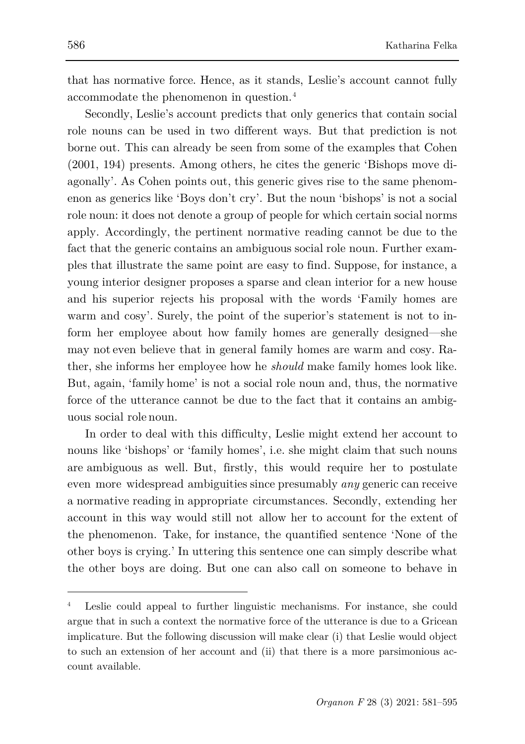that has normative force. Hence, as it stands, Leslie's account cannot fully accommodate the phenomenon in question.[4](#page-5-0)

Secondly, Leslie's account predicts that only generics that contain social role nouns can be used in two different ways. But that prediction is not borne out. This can already be seen from some of the examples that [Cohen](#page-14-2)  [\(2001,](#page-14-2) 194) presents. Among others, he cites the generic 'Bishops move diagonally'. As Cohen points out, this generic gives rise to the same phenomenon as generics like 'Boys don't cry'. But the noun 'bishops' is not a social role noun: it does not denote a group of people for which certain social norms apply. Accordingly, the pertinent normative reading cannot be due to the fact that the generic contains an ambiguous social role noun. Further examples that illustrate the same point are easy to find. Suppose, for instance, a young interior designer proposes a sparse and clean interior for a new house and his superior rejects his proposal with the words 'Family homes are warm and cosy'. Surely, the point of the superior's statement is not to inform her employee about how family homes are generally designed—she may not even believe that in general family homes are warm and cosy. Rather, she informs her employee how he *should* make family homes look like. But, again, 'family home' is not a social role noun and, thus, the normative force of the utterance cannot be due to the fact that it contains an ambiguous social role noun.

In order to deal with this difficulty, Leslie might extend her account to nouns like 'bishops' or 'family homes', i.e. she might claim that such nouns are ambiguous as well. But, firstly, this would require her to postulate even more widespread ambiguities since presumably *any* generic can receive a normative reading in appropriate circumstances. Secondly, extending her account in this way would still not allow her to account for the extent of the phenomenon. Take, for instance, the quantified sentence 'None of the other boys is crying.' In uttering this sentence one can simply describe what the other boys are doing. But one can also call on someone to behave in

<span id="page-5-0"></span><sup>4</sup> Leslie could appeal to further linguistic mechanisms. For instance, she could argue that in such a context the normative force of the utterance is due to a Gricean implicature. But the following discussion will make clear (i) that Leslie would object to such an extension of her account and (ii) that there is a more parsimonious account available.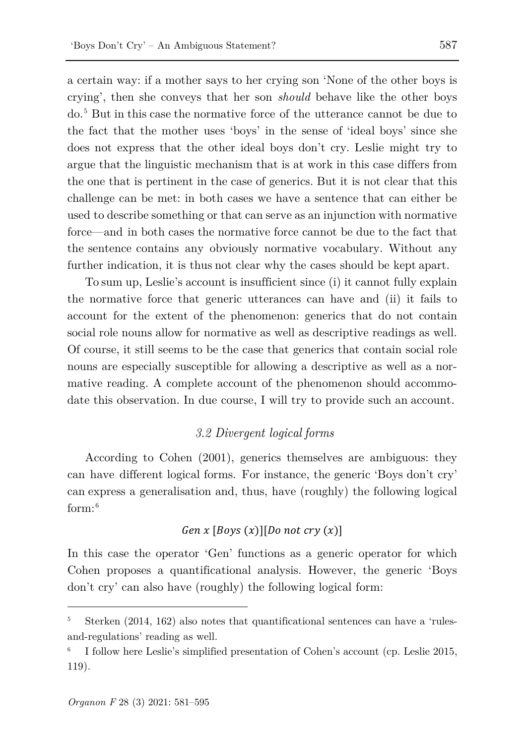a certain way: if a mother says to her crying son 'None of the other boys is crying', then she conveys that her son *should* behave like the other boys do. [5](#page-6-0) But in this case the normative force of the utterance cannot be due to the fact that the mother uses 'boys' in the sense of 'ideal boys' since she does not express that the other ideal boys don't cry. Leslie might try to argue that the linguistic mechanism that is at work in this case differs from the one that is pertinent in the case of generics. But it is not clear that this challenge can be met: in both cases we have a sentence that can either be used to describe something or that can serve as an injunction with normative force—and in both cases the normative force cannot be due to the fact that the sentence contains any obviously normative vocabulary. Without any further indication, it is thus not clear why the cases should be kept apart.

To sum up, Leslie's account is insufficient since (i) it cannot fully explain the normative force that generic utterances can have and (ii) it fails to account for the extent of the phenomenon: generics that do not contain social role nouns allow for normative as well as descriptive readings as well. Of course, it still seems to be the case that generics that contain social role nouns are especially susceptible for allowing a descriptive as well as a normative reading. A complete account of the phenomenon should accommodate this observation. In due course, I will try to provide such an account.

### *3.2 Divergent logical forms*

According to [Cohen \(2001\)](#page-14-2), generics themselves are ambiguous: they can have different logical forms. For instance, the generic 'Boys don't cry' can express a generalisation and, thus, have (roughly) the following logical form:[6](#page-6-1)

### $Gen x [Boys (x)] [Do not cry (x)]$

In this case the operator 'Gen' functions as a generic operator for which Cohen proposes a quantificational analysis. However, the generic 'Boys don't cry' can also have (roughly) the following logical form:

<span id="page-6-0"></span><sup>5</sup> Sterken (2014, 162) also notes that quantificational sentences can have a 'rulesand-regulations' reading as well.

<span id="page-6-1"></span><sup>6</sup> I follow here Leslie's simplified presentation of Cohen's account (cp[. Leslie 2015,](#page-14-1) 119).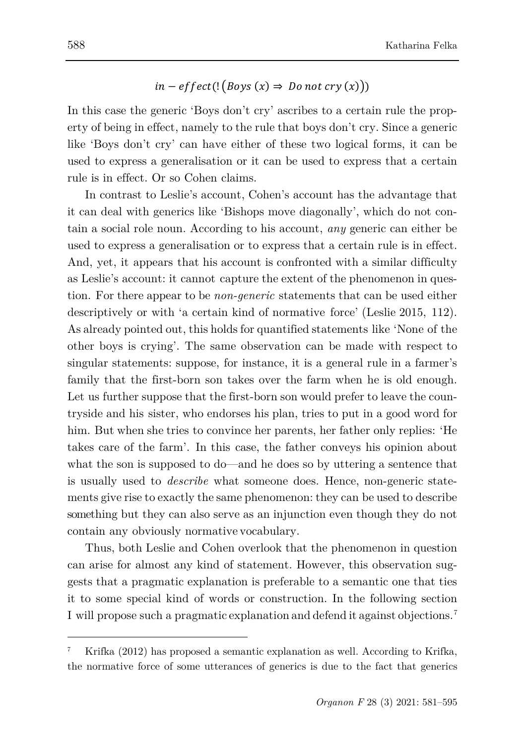## $in - effect($ !  $(Boys(x) \Rightarrow Do not cry(x)))$

In this case the generic 'Boys don't cry' ascribes to a certain rule the property of being in effect, namely to the rule that boys don't cry. Since a generic like 'Boys don't cry' can have either of these two logical forms, it can be used to express a generalisation or it can be used to express that a certain rule is in effect. Or so Cohen claims.

In contrast to Leslie's account, Cohen's account has the advantage that it can deal with generics like 'Bishops move diagonally', which do not contain a social role noun. According to his account, *any* generic can either be used to express a generalisation or to express that a certain rule is in effect. And, yet, it appears that his account is confronted with a similar difficulty as Leslie's account: it cannot capture the extent of the phenomenon in question. For there appear to be *non-generic* statements that can be used either descriptively or with 'a certain kind of normative force' [\(Leslie](#page-14-1) [2015,](#page-14-1) 112). As already pointed out, this holds for quantified statements like 'None of the other boys is crying'. The same observation can be made with respect to singular statements: suppose, for instance, it is a general rule in a farmer's family that the first-born son takes over the farm when he is old enough. Let us further suppose that the first-born son would prefer to leave the countryside and his sister, who endorses his plan, tries to put in a good word for him. But when she tries to convince her parents, her father only replies: 'He takes care of the farm'. In this case, the father conveys his opinion about what the son is supposed to do—and he does so by uttering a sentence that is usually used to *describe* what someone does. Hence, non-generic statements give rise to exactly the same phenomenon: they can be used to describe something but they can also serve as an injunction even though they do not contain any obviously normative vocabulary.

Thus, both Leslie and Cohen overlook that the phenomenon in question can arise for almost any kind of statement. However, this observation suggests that a pragmatic explanation is preferable to a semantic one that ties it to some special kind of words or construction. In the following section I will propose such a pragmatic explanation and defend it against objections.[7](#page-7-0)

<span id="page-7-0"></span><sup>7</sup> Krifka [\(2012\)](#page-14-5) has proposed a semantic explanation as well. According to Krifka, the normative force of some utterances of generics is due to the fact that generics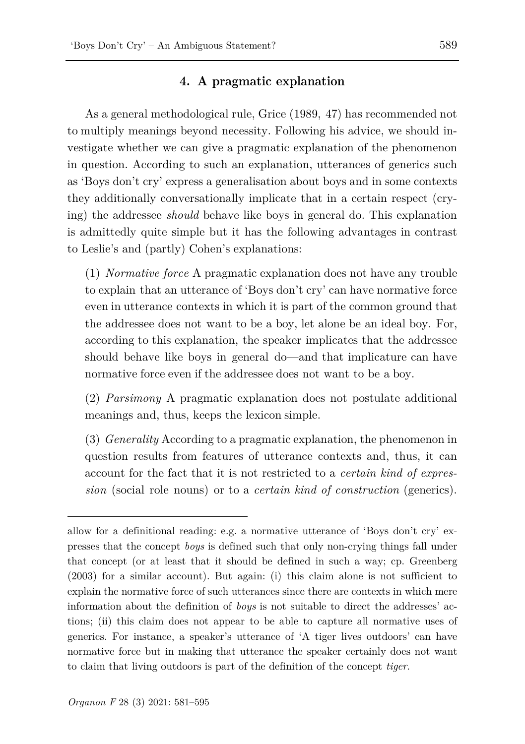### **4. A pragmatic explanation**

As a general methodological rule, [Grice](#page-14-7) [\(1989,](#page-14-7) 47) has recommended not to multiply meanings beyond necessity. Following his advice, we should investigate whether we can give a pragmatic explanation of the phenomenon in question. According to such an explanation, utterances of generics such as 'Boys don't cry' express a generalisation about boys and in some contexts they additionally conversationally implicate that in a certain respect (crying) the addressee *should* behave like boys in general do. This explanation is admittedly quite simple but it has the following advantages in contrast to Leslie's and (partly) Cohen's explanations:

(1) *Normative force* A pragmatic explanation does not have any trouble to explain that an utterance of 'Boys don't cry' can have normative force even in utterance contexts in which it is part of the common ground that the addressee does not want to be a boy, let alone be an ideal boy. For, according to this explanation, the speaker implicates that the addressee should behave like boys in general do—and that implicature can have normative force even if the addressee does not want to be a boy.

(2) *Parsimony* A pragmatic explanation does not postulate additional meanings and, thus, keeps the lexicon simple.

(3) *Generality* According to a pragmatic explanation, the phenomenon in question results from features of utterance contexts and, thus, it can account for the fact that it is not restricted to a *certain kind of expression* (social role nouns) or to a *certain kind of construction* (generics).

allow for a definitional reading: e.g. a normative utterance of 'Boys don't cry' expresses that the concept *boys* is defined such that only non-crying things fall under that concept (or at least that it should be defined in such a way; cp. [Greenberg](#page-14-3) [\(2003\)](#page-14-3) for a similar account). But again: (i) this claim alone is not sufficient to explain the normative force of such utterances since there are contexts in which mere information about the definition of *boys* is not suitable to direct the addresses' actions; (ii) this claim does not appear to be able to capture all normative uses of generics. For instance, a speaker's utterance of 'A tiger lives outdoors' can have normative force but in making that utterance the speaker certainly does not want to claim that living outdoors is part of the definition of the concept *tiger*.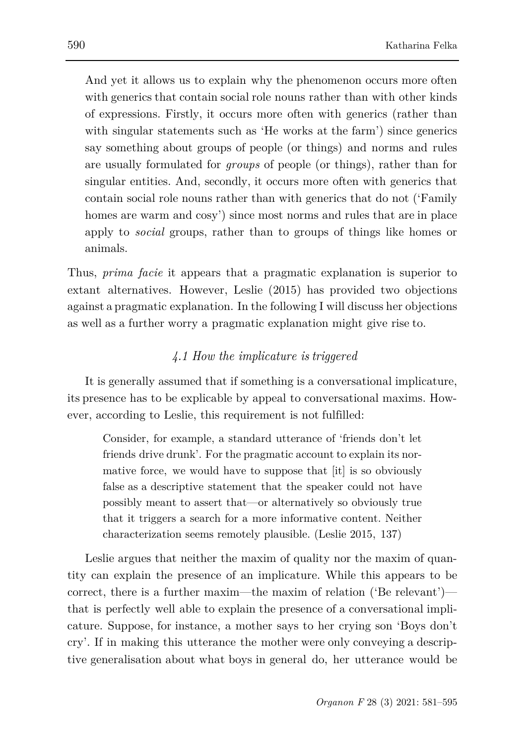And yet it allows us to explain why the phenomenon occurs more often with generics that contain social role nouns rather than with other kinds of expressions. Firstly, it occurs more often with generics (rather than with singular statements such as 'He works at the farm') since generics say something about groups of people (or things) and norms and rules are usually formulated for *groups* of people (or things), rather than for singular entities. And, secondly, it occurs more often with generics that contain social role nouns rather than with generics that do not ('Family homes are warm and cosy') since most norms and rules that are in place apply to *social* groups, rather than to groups of things like homes or animals.

Thus, *prima facie* it appears that a pragmatic explanation is superior to extant alternatives. However, [Leslie](#page-14-1) [\(2015\)](#page-14-1) has provided two objections against a pragmatic explanation. In the following I will discuss her objections as well as a further worry a pragmatic explanation might give rise to.

### *4.1 How the implicature is triggered*

It is generally assumed that if something is a conversational implicature, its presence has to be explicable by appeal to conversational maxims. However, according to Leslie, this requirement is not fulfilled:

Consider, for example, a standard utterance of 'friends don't let friends drive drunk'. For the pragmatic account to explain its normative force, we would have to suppose that [it] is so obviously false as a descriptive statement that the speaker could not have possibly meant to assert that—or alternatively so obviously true that it triggers a search for a more informative content. Neither characterization seems remotely plausible. [\(Leslie 2015,](#page-14-1) 137)

Leslie argues that neither the maxim of quality nor the maxim of quantity can explain the presence of an implicature. While this appears to be correct, there is a further maxim—the maxim of relation ('Be relevant') that is perfectly well able to explain the presence of a conversational implicature. Suppose, for instance, a mother says to her crying son 'Boys don't cry'. If in making this utterance the mother were only conveying a descriptive generalisation about what boys in general do, her utterance would be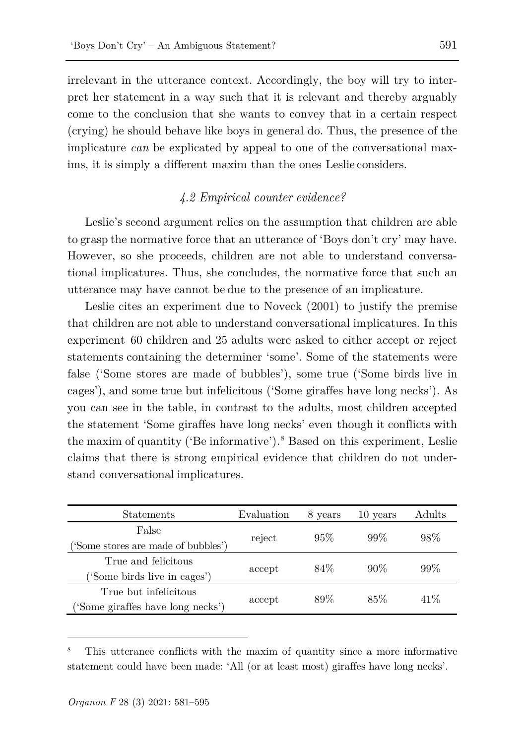irrelevant in the utterance context. Accordingly, the boy will try to interpret her statement in a way such that it is relevant and thereby arguably come to the conclusion that she wants to convey that in a certain respect (crying) he should behave like boys in general do. Thus, the presence of the implicature *can* be explicated by appeal to one of the conversational maxims, it is simply a different maxim than the ones Leslie considers.

### *4.2 Empirical counter evidence?*

Leslie's second argument relies on the assumption that children are able to grasp the normative force that an utterance of 'Boys don't cry' may have. However, so she proceeds, children are not able to understand conversational implicatures. Thus, she concludes, the normative force that such an utterance may have cannot be due to the presence of an implicature.

Leslie cites an experiment due to [Noveck \(2001\)](#page-14-8) to justify the premise that children are not able to understand conversational implicatures. In this experiment 60 children and 25 adults were asked to either accept or reject statements containing the determiner 'some'. Some of the statements were false ('Some stores are made of bubbles'), some true ('Some birds live in cages'), and some true but infelicitous ('Some giraffes have long necks'). As you can see in the table, in contrast to the adults, most children accepted the statement 'Some giraffes have long necks' even though it conflicts with the maxim of quantity ('Be informative').<sup>[8](#page-10-0)</sup> Based on this experiment, Leslie claims that there is strong empirical evidence that children do not understand conversational implicatures.

| Statements                          | Evaluation | 8 years | 10 years | Adults |
|-------------------------------------|------------|---------|----------|--------|
| False                               | reject     | 95%     | $99\%$   | 98%    |
| ('Some stores are made of bubbles') |            |         |          |        |
| True and felicitous                 | accept     | 84\%    | $90\%$   | 99%    |
| ('Some birds live in cages')        |            |         |          |        |
| True but infelicitous               | accept     | 89%     | 85%      | 41\%   |
| ('Some giraffes have long necks')   |            |         |          |        |

<span id="page-10-0"></span><sup>8</sup> This utterance conflicts with the maxim of quantity since a more informative statement could have been made: 'All (or at least most) giraffes have long necks'.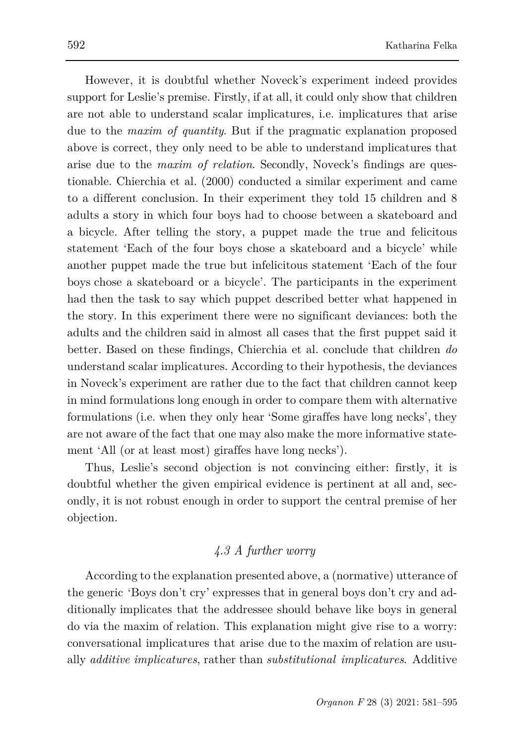However, it is doubtful whether Noveck's experiment indeed provides support for Leslie's premise. Firstly, if at all, it could only show that children are not able to understand scalar implicatures, i.e. implicatures that arise due to the *maxim of quantity*. But if the pragmatic explanation proposed above is correct, they only need to be able to understand implicatures that arise due to the *maxim of relation*. Secondly, Noveck's findings are questionable. [Chierchia et al. \(2000\)](#page-13-2) conducted a similar experiment and came to a different conclusion. In their experiment they told 15 children and 8 adults a story in which four boys had to choose between a skateboard and a bicycle. After telling the story, a puppet made the true and felicitous statement 'Each of the four boys chose a skateboard and a bicycle' while another puppet made the true but infelicitous statement 'Each of the four boys chose a skateboard or a bicycle'. The participants in the experiment had then the task to say which puppet described better what happened in the story. In this experiment there were no significant deviances: both the adults and the children said in almost all cases that the first puppet said it better. Based on these findings, Chierchia et al. conclude that children *do*  understand scalar implicatures. According to their hypothesis, the deviances in Noveck's experiment are rather due to the fact that children cannot keep in mind formulations long enough in order to compare them with alternative formulations (i.e. when they only hear 'Some giraffes have long necks', they are not aware of the fact that one may also make the more informative statement 'All (or at least most) giraffes have long necks').

Thus, Leslie's second objection is not convincing either: firstly, it is doubtful whether the given empirical evidence is pertinent at all and, secondly, it is not robust enough in order to support the central premise of her objection.

# *4.3 A further worry*

According to the explanation presented above, a (normative) utterance of the generic 'Boys don't cry' expresses that in general boys don't cry and additionally implicates that the addressee should behave like boys in general do via the maxim of relation. This explanation might give rise to a worry: conversational implicatures that arise due to the maxim of relation are usually *additive implicatures*, rather than *substitutional implicatures*. Additive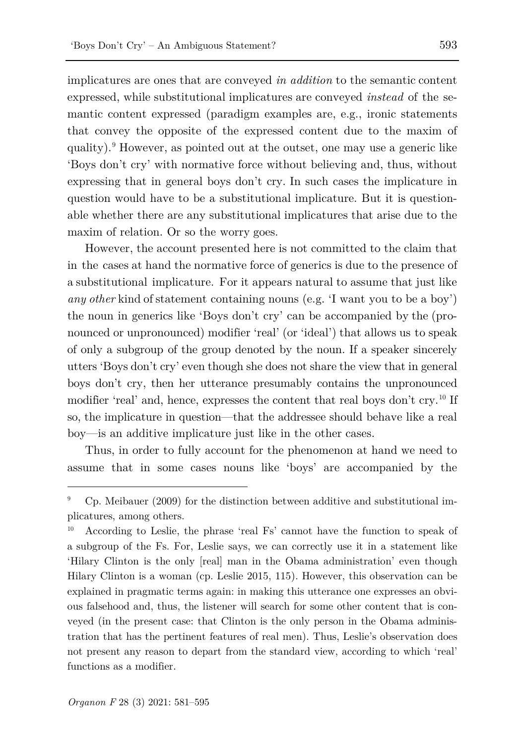implicatures are ones that are conveyed *in addition* to the semantic content expressed, while substitutional implicatures are conveyed *instead* of the semantic content expressed (paradigm examples are, e.g., ironic statements that convey the opposite of the expressed content due to the maxim of quality).[9](#page-12-0) However, as pointed out at the outset, one may use a generic like 'Boys don't cry' with normative force without believing and, thus, without expressing that in general boys don't cry. In such cases the implicature in question would have to be a substitutional implicature. But it is questionable whether there are any substitutional implicatures that arise due to the maxim of relation. Or so the worry goes.

However, the account presented here is not committed to the claim that in the cases at hand the normative force of generics is due to the presence of a substitutional implicature. For it appears natural to assume that just like *any other* kind of statement containing nouns (e.g. 'I want you to be a boy') the noun in generics like 'Boys don't cry' can be accompanied by the (pronounced or unpronounced) modifier 'real' (or 'ideal') that allows us to speak of only a subgroup of the group denoted by the noun. If a speaker sincerely utters 'Boys don't cry' even though she does not share the view that in general boys don't cry, then her utterance presumably contains the unpronounced modifier 'real' and, hence, expresses the content that real boys don't cry.<sup>[10](#page-12-1)</sup> If so, the implicature in question—that the addressee should behave like a real boy—is an additive implicature just like in the other cases.

Thus, in order to fully account for the phenomenon at hand we need to assume that in some cases nouns like 'boys' are accompanied by the

<span id="page-12-0"></span><sup>9</sup> Cp. Meibauer (2009) for the distinction between additive and substitutional implicatures, among others.

<span id="page-12-1"></span>According to Leslie, the phrase 'real Fs' cannot have the function to speak of a subgroup of the Fs. For, Leslie says, we can correctly use it in a statement like 'Hilary Clinton is the only [real] man in the Obama administration' even though Hilary Clinton is a woman (cp. [Leslie 2015,](#page-14-1) 115). However, this observation can be explained in pragmatic terms again: in making this utterance one expresses an obvious falsehood and, thus, the listener will search for some other content that is conveyed (in the present case: that Clinton is the only person in the Obama administration that has the pertinent features of real men). Thus, Leslie's observation does not present any reason to depart from the standard view, according to which 'real' functions as a modifier.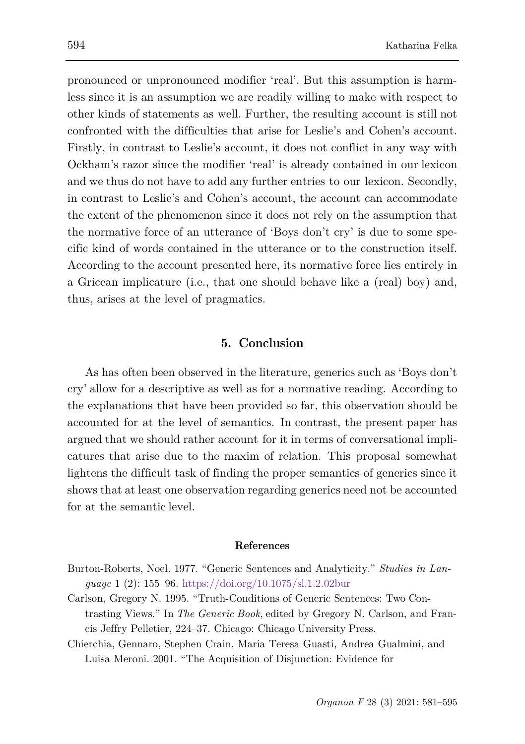pronounced or unpronounced modifier 'real'. But this assumption is harmless since it is an assumption we are readily willing to make with respect to other kinds of statements as well. Further, the resulting account is still not confronted with the difficulties that arise for Leslie's and Cohen's account. Firstly, in contrast to Leslie's account, it does not conflict in any way with Ockham's razor since the modifier 'real' is already contained in our lexicon and we thus do not have to add any further entries to our lexicon. Secondly, in contrast to Leslie's and Cohen's account, the account can accommodate the extent of the phenomenon since it does not rely on the assumption that the normative force of an utterance of 'Boys don't cry' is due to some specific kind of words contained in the utterance or to the construction itself. According to the account presented here, its normative force lies entirely in a Gricean implicature (i.e., that one should behave like a (real) boy) and, thus, arises at the level of pragmatics.

### **5. Conclusion**

As has often been observed in the literature, generics such as 'Boys don't cry' allow for a descriptive as well as for a normative reading. According to the explanations that have been provided so far, this observation should be accounted for at the level of semantics. In contrast, the present paper has argued that we should rather account for it in terms of conversational implicatures that arise due to the maxim of relation. This proposal somewhat lightens the difficult task of finding the proper semantics of generics since it shows that at least one observation regarding generics need not be accounted for at the semantic level.

#### <span id="page-13-1"></span>**References**

- <span id="page-13-0"></span>Burton-Roberts, Noel. 1977. "Generic Sentences and Analyticity." *Studies in Language* 1 (2): 155–96.<https://doi.org/10.1075/sl.1.2.02bur>
- Carlson, Gregory N. 1995. "Truth-Conditions of Generic Sentences: Two Contrasting Views." In *The Generic Book*, edited by Gregory N. Carlson, and Francis Jeffry Pelletier, 224–37. Chicago: Chicago University Press.
- <span id="page-13-2"></span>Chierchia, Gennaro, Stephen Crain, Maria Teresa Guasti, Andrea Gualmini, and Luisa Meroni. 2001. "The Acquisition of Disjunction: Evidence for